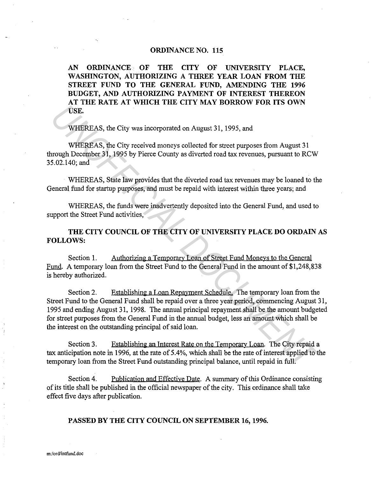## ORDINANCE NO. 115

AN ORDINANCE OF THE CITY OF UNIVERSITY PLACE, WASHINGTON, AUTHORIZING A THREE YEAR LOAN FROM THE STREET FUND TO THE GENERAL FUND, AMENDING THE 1996 BUDGET, AND AUTHORIZING PAYMENT OF INTEREST THEREON AT THE RATE AT WHICH THE CITY MAY BORROW FOR ITS OWN USE.

WHEREAS, the City was incorporated on August 31, 1995, and

WHEREAS, the City received moneys collected for street purposes from August 31 through December 31, 1995 by Pierce County as diverted road tax revenues, pursuant to RCW 35.02.140; and

WHEREAS, State law provides that the diverted road tax revenues may be loaned to the General fund for startup purposes, and must be repaid with interest within three years; and

WHEREAS, the funds were inadvertently deposited into the General Fund, and used to support the Street Fund activities,

THE CITY COUNCIL OF THE CITY OF UNIVERSITY PLACE DO ORDAIN AS FOLLOWS:

Section 1. Authorizing a Temporary Loan of Street Fund Moneys to the General Fund. A temporary loan from the Street Fund to the General Fund in the amount of \$1,248,838 is hereby authorized.

Section 2. Establishing a Loan Repayment Schedule. The temporary loan from the Street Fund to the General Fund shall be repaid over a three year period, commencing August 31, 1995 and ending August 31, 1998. The annual principal repayment shall be the amount budgeted for street purposes from the General Fund in the annual budget, less an amount which shall be the interest on the outstanding principal of said loan. **UNIFICIAL SET CONSECT AND SET CONSECT AND SET CONSECT USER.**<br> **UNIFICIAL ACT CONSECT WAS DESCRIPED AND SET CONSECT USER AND STAND WHEREAS, the City received moneys collected for street purposes from August 31 mough Decemb** 

Section 3. Establishing an Interest Rate on the Temporary Loan. The City repaid a tax anticipation note in 1996, at the rate of 5.4%, which shall be the rate of interest applied to the temporary loan from the Street Fund outstanding principal balance, until repaid in full.

Section 4. Publication and Effective Date. A summary of this Ordinance consisting of its title shall be published in the official newspaper of the city. This ordinance shall take effect five days after publication.

## PASSED BY THE CITY COUNCIL ON SEPTEMBER 16, 1996.